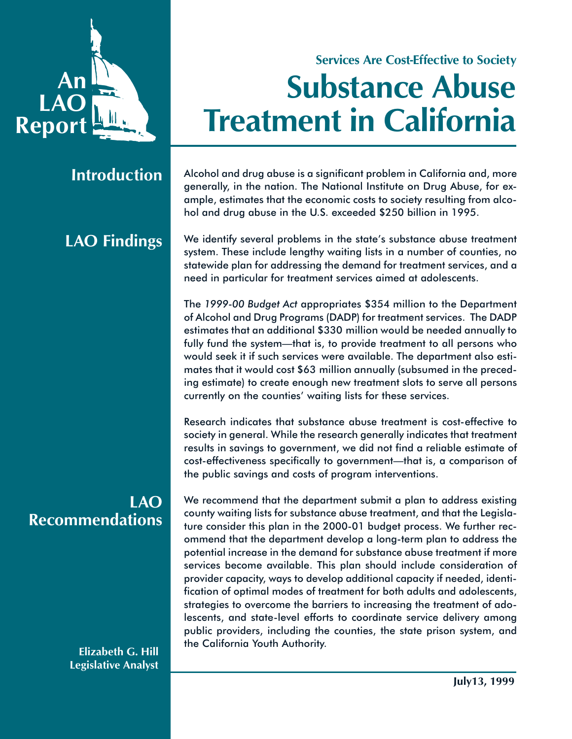

# **Services Are Cost-Effective to Society Substance Abuse Treatment in California**

### **Introduction**

# **LAO Findings**

### **LAO Recommendations**

**Elizabeth G. Hill Legislative Analyst** Alcohol and drug abuse is a significant problem in California and, more generally, in the nation. The National Institute on Drug Abuse, for example, estimates that the economic costs to society resulting from alcohol and drug abuse in the U.S. exceeded \$250 billion in 1995.

We identify several problems in the state's substance abuse treatment system. These include lengthy waiting lists in a number of counties, no statewide plan for addressing the demand for treatment services, and a need in particular for treatment services aimed at adolescents.

The *1999-00 Budget Act* appropriates \$354 million to the Department of Alcohol and Drug Programs (DADP) for treatment services. The DADP estimates that an additional \$330 million would be needed annually to fully fund the system—that is, to provide treatment to all persons who would seek it if such services were available. The department also estimates that it would cost \$63 million annually (subsumed in the preceding estimate) to create enough new treatment slots to serve all persons currently on the counties' waiting lists for these services.

Research indicates that substance abuse treatment is cost-effective to society in general. While the research generally indicates that treatment results in savings to government, we did not find a reliable estimate of cost-effectiveness specifically to government—that is, a comparison of the public savings and costs of program interventions.

We recommend that the department submit a plan to address existing county waiting lists for substance abuse treatment, and that the Legislature consider this plan in the 2000-01 budget process. We further recommend that the department develop a long-term plan to address the potential increase in the demand for substance abuse treatment if more services become available. This plan should include consideration of provider capacity, ways to develop additional capacity if needed, identification of optimal modes of treatment for both adults and adolescents, strategies to overcome the barriers to increasing the treatment of adolescents, and state-level efforts to coordinate service delivery among public providers, including the counties, the state prison system, and the California Youth Authority.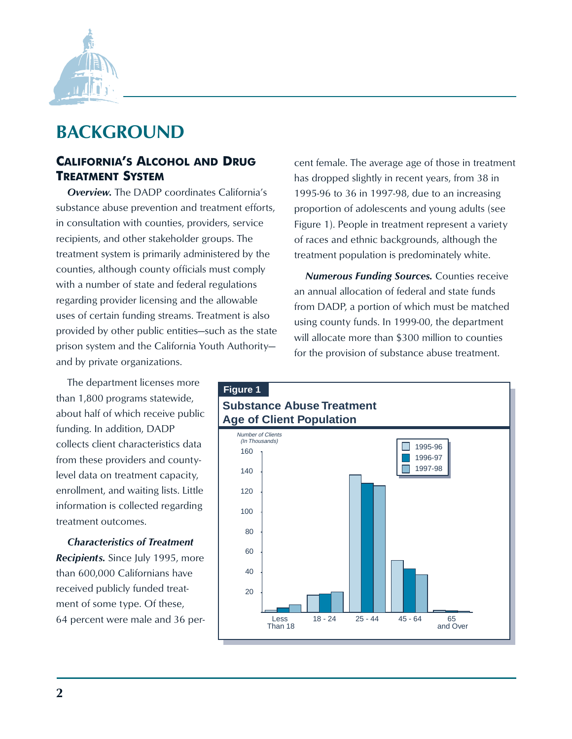

## **BACKGROUND**

### **CALIFORNIA'S ALCOHOL AND DRUG TREATMENT SYSTEM**

*Overview.* The DADP coordinates California's substance abuse prevention and treatment efforts, in consultation with counties, providers, service recipients, and other stakeholder groups. The treatment system is primarily administered by the counties, although county officials must comply with a number of state and federal regulations regarding provider licensing and the allowable uses of certain funding streams. Treatment is also provided by other public entities—such as the state prison system and the California Youth Authority and by private organizations.

The department licenses more than 1,800 programs statewide, about half of which receive public funding. In addition, DADP collects client characteristics data from these providers and countylevel data on treatment capacity, enrollment, and waiting lists. Little information is collected regarding treatment outcomes.

*Characteristics of Treatment Recipients.* Since July 1995, more than 600,000 Californians have received publicly funded treatment of some type. Of these, 64 percent were male and 36 percent female. The average age of those in treatment has dropped slightly in recent years, from 38 in 1995-96 to 36 in 1997-98, due to an increasing proportion of adolescents and young adults (see Figure 1). People in treatment represent a variety of races and ethnic backgrounds, although the treatment population is predominately white.

*Numerous Funding Sources.* Counties receive an annual allocation of federal and state funds from DADP, a portion of which must be matched using county funds. In 1999-00, the department will allocate more than \$300 million to counties for the provision of substance abuse treatment.

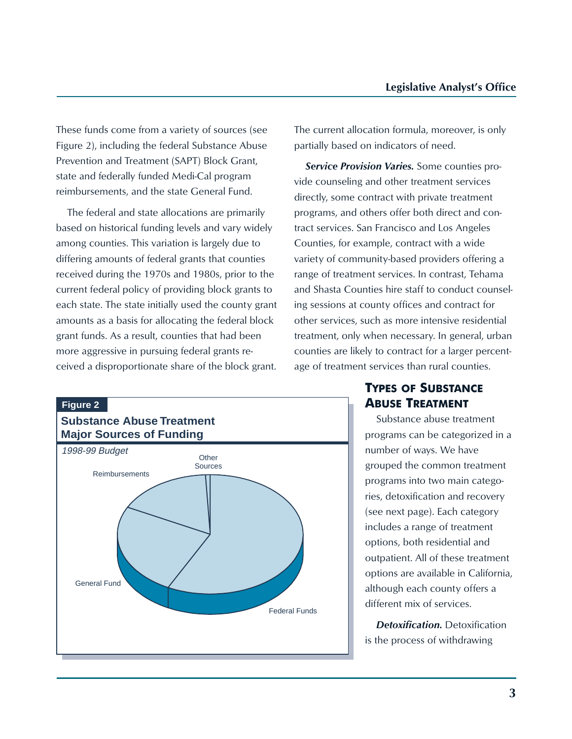These funds come from a variety of sources (see Figure 2), including the federal Substance Abuse Prevention and Treatment (SAPT) Block Grant, state and federally funded Medi-Cal program reimbursements, and the state General Fund.

The federal and state allocations are primarily based on historical funding levels and vary widely among counties. This variation is largely due to differing amounts of federal grants that counties received during the 1970s and 1980s, prior to the current federal policy of providing block grants to each state. The state initially used the county grant amounts as a basis for allocating the federal block grant funds. As a result, counties that had been more aggressive in pursuing federal grants received a disproportionate share of the block grant. The current allocation formula, moreover, is only partially based on indicators of need.

*Service Provision Varies.* Some counties provide counseling and other treatment services directly, some contract with private treatment programs, and others offer both direct and contract services. San Francisco and Los Angeles Counties, for example, contract with a wide variety of community-based providers offering a range of treatment services. In contrast, Tehama and Shasta Counties hire staff to conduct counseling sessions at county offices and contract for other services, such as more intensive residential treatment, only when necessary. In general, urban counties are likely to contract for a larger percentage of treatment services than rural counties.



### **TYPES OF SUBSTANCE ABUSE TREATMENT**

Substance abuse treatment programs can be categorized in a number of ways. We have grouped the common treatment programs into two main categories, detoxification and recovery (see next page). Each category includes a range of treatment options, both residential and outpatient. All of these treatment options are available in California, although each county offers a different mix of services.

*Detoxification.* Detoxification is the process of withdrawing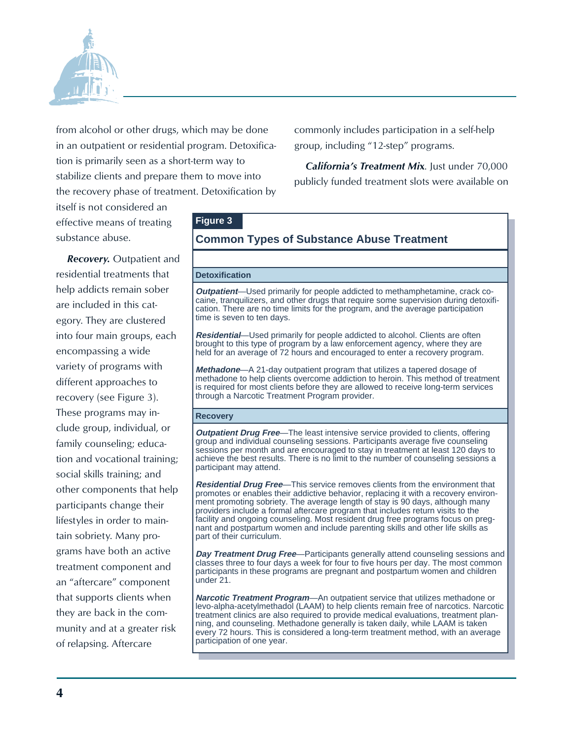

from alcohol or other drugs, which may be done in an outpatient or residential program. Detoxification is primarily seen as a short-term way to stabilize clients and prepare them to move into the recovery phase of treatment. Detoxification by

itself is not considered an effective means of treating substance abuse.

*Recovery.* Outpatient and residential treatments that help addicts remain sober are included in this category. They are clustered into four main groups, each encompassing a wide variety of programs with different approaches to recovery (see Figure 3). These programs may include group, individual, or family counseling; education and vocational training; social skills training; and other components that help participants change their lifestyles in order to maintain sobriety. Many programs have both an active treatment component and an "aftercare" component that supports clients when they are back in the community and at a greater risk of relapsing. Aftercare

commonly includes participation in a self-help group, including "12-step" programs.

*California's Treatment Mi***x**. Just under 70,000 publicly funded treatment slots were available on

#### **Figure 3 Common Types of Substance Abuse Treatment Detoxification Outpatient**—Used primarily for people addicted to methamphetamine, crack cocaine, tranquilizers, and other drugs that require some supervision during detoxification. There are no time limits for the program, and the average participation time is seven to ten days. **Residential**—Used primarily for people addicted to alcohol. Clients are often brought to this type of program by a law enforcement agency, where they are held for an average of 72 hours and encouraged to enter a recovery program. **Methadone**—A 21-day outpatient program that utilizes a tapered dosage of methadone to help clients overcome addiction to heroin. This method of treatment is required for most clients before they are allowed to receive long-term services through a Narcotic Treatment Program provider. **Recovery Outpatient Drug Free**—The least intensive service provided to clients, offering group and individual counseling sessions. Participants average five counseling sessions per month and are encouraged to stay in treatment at least 120 days to achieve the best results. There is no limit to the number of counseling sessions a participant may attend. **Residential Drug Free**—This service removes clients from the environment that promotes or enables their addictive behavior, replacing it with a recovery environment promoting sobriety. The average length of stay is 90 days, although many providers include a formal aftercare program that includes return visits to the facility and ongoing counseling. Most resident drug free programs focus on preg-

nant and postpartum women and include parenting skills and other life skills as part of their curriculum.

**Day Treatment Drug Free**—Participants generally attend counseling sessions and classes three to four days a week for four to five hours per day. The most common participants in these programs are pregnant and postpartum women and children under 21.

**Narcotic Treatment Program**—An outpatient service that utilizes methadone or levo-alpha-acetylmethadol (LAAM) to help clients remain free of narcotics. Narcotic treatment clinics are also required to provide medical evaluations, treatment planning, and counseling. Methadone generally is taken daily, while LAAM is taken every 72 hours. This is considered a long-term treatment method, with an average participation of one year.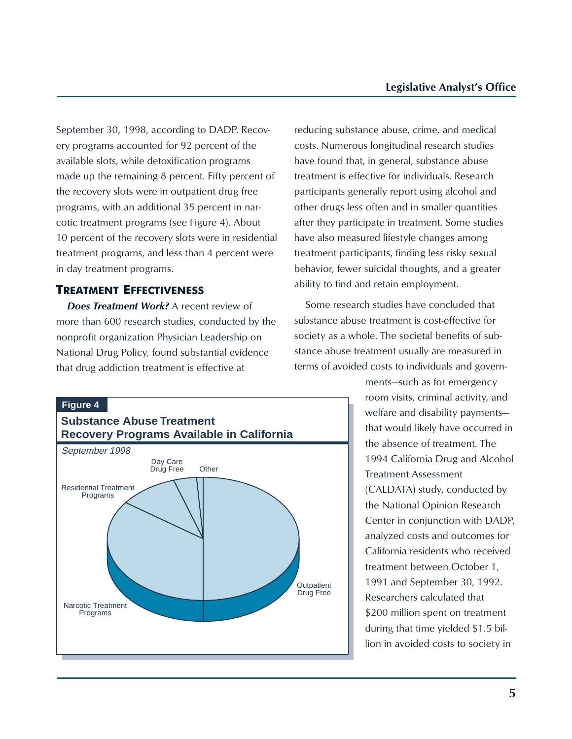September 30, 1998, according to DADP. Recovery programs accounted for 92 percent of the available slots, while detoxification programs made up the remaining 8 percent. Fifty percent of the recovery slots were in outpatient drug free programs, with an additional 35 percent in narcotic treatment programs (see Figure 4). About 10 percent of the recovery slots were in residential treatment programs, and less than 4 percent were in day treatment programs.

#### **TREATMENT EFFECTIVENESS**

*Does Treatment Work?* A recent review of more than 600 research studies, conducted by the nonprofit organization Physician Leadership on National Drug Policy, found substantial evidence that drug addiction treatment is effective at

reducing substance abuse, crime, and medical costs. Numerous longitudinal research studies have found that, in general, substance abuse treatment is effective for individuals. Research participants generally report using alcohol and other drugs less often and in smaller quantities after they participate in treatment. Some studies have also measured lifestyle changes among treatment participants, finding less risky sexual behavior, fewer suicidal thoughts, and a greater ability to find and retain employment.

Some research studies have concluded that substance abuse treatment is cost-effective for society as a whole. The societal benefits of substance abuse treatment usually are measured in terms of avoided costs to individuals and govern-

#### **Figure 4**



ments—such as for emergency room visits, criminal activity, and welfare and disability payments that would likely have occurred in the absence of treatment. The 1994 California Drug and Alcohol Treatment Assessment (CALDATA) study, conducted by the National Opinion Research Center in conjunction with DADP, analyzed costs and outcomes for California residents who received treatment between October 1, 1991 and September 30, 1992. Researchers calculated that \$200 million spent on treatment during that time yielded \$1.5 billion in avoided costs to society in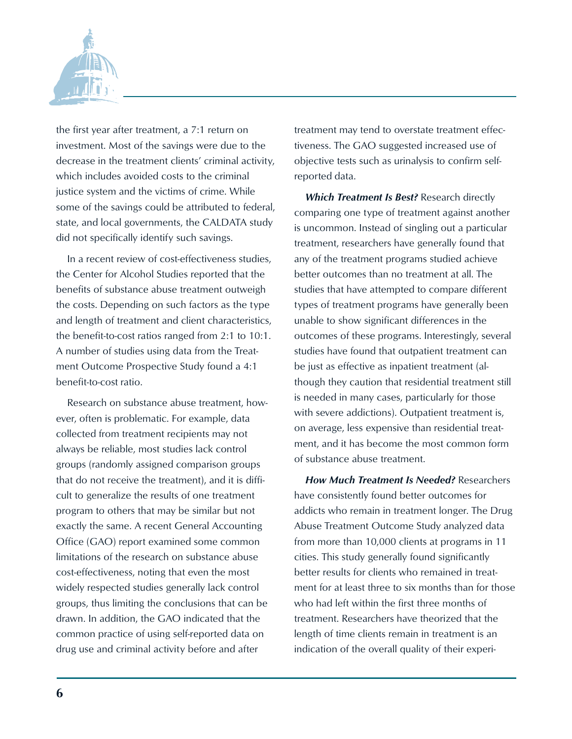

the first year after treatment, a 7:1 return on investment. Most of the savings were due to the decrease in the treatment clients' criminal activity, which includes avoided costs to the criminal justice system and the victims of crime. While some of the savings could be attributed to federal, state, and local governments, the CALDATA study did not specifically identify such savings.

In a recent review of cost-effectiveness studies, the Center for Alcohol Studies reported that the benefits of substance abuse treatment outweigh the costs. Depending on such factors as the type and length of treatment and client characteristics, the benefit-to-cost ratios ranged from 2:1 to 10:1. A number of studies using data from the Treatment Outcome Prospective Study found a 4:1 benefit-to-cost ratio.

Research on substance abuse treatment, however, often is problematic. For example, data collected from treatment recipients may not always be reliable, most studies lack control groups (randomly assigned comparison groups that do not receive the treatment), and it is difficult to generalize the results of one treatment program to others that may be similar but not exactly the same. A recent General Accounting Office (GAO) report examined some common limitations of the research on substance abuse cost-effectiveness, noting that even the most widely respected studies generally lack control groups, thus limiting the conclusions that can be drawn. In addition, the GAO indicated that the common practice of using self-reported data on drug use and criminal activity before and after

treatment may tend to overstate treatment effectiveness. The GAO suggested increased use of objective tests such as urinalysis to confirm selfreported data.

*Which Treatment Is Best?* Research directly comparing one type of treatment against another is uncommon. Instead of singling out a particular treatment, researchers have generally found that any of the treatment programs studied achieve better outcomes than no treatment at all. The studies that have attempted to compare different types of treatment programs have generally been unable to show significant differences in the outcomes of these programs. Interestingly, several studies have found that outpatient treatment can be just as effective as inpatient treatment (although they caution that residential treatment still is needed in many cases, particularly for those with severe addictions). Outpatient treatment is, on average, less expensive than residential treatment, and it has become the most common form of substance abuse treatment.

*How Much Treatment Is Needed?* Researchers have consistently found better outcomes for addicts who remain in treatment longer. The Drug Abuse Treatment Outcome Study analyzed data from more than 10,000 clients at programs in 11 cities. This study generally found significantly better results for clients who remained in treatment for at least three to six months than for those who had left within the first three months of treatment. Researchers have theorized that the length of time clients remain in treatment is an indication of the overall quality of their experi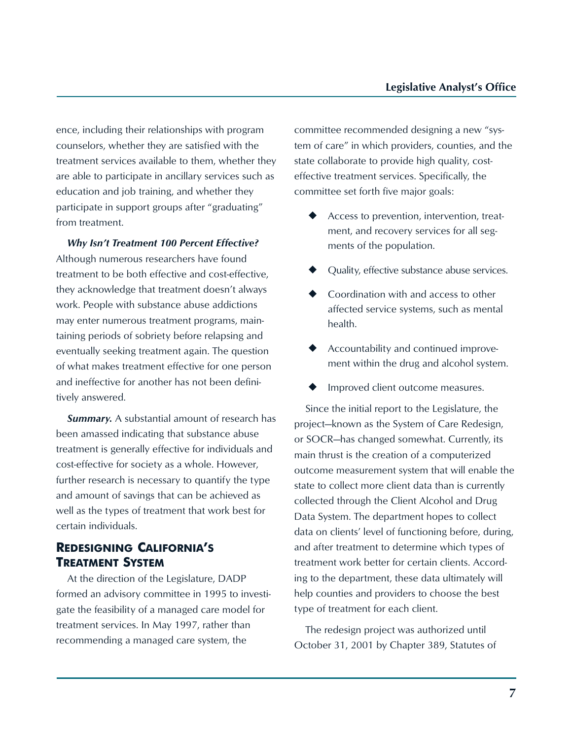ence, including their relationships with program counselors, whether they are satisfied with the treatment services available to them, whether they are able to participate in ancillary services such as education and job training, and whether they participate in support groups after "graduating" from treatment.

*Why Isn't Treatment 100 Percent Effective?* Although numerous researchers have found treatment to be both effective and cost-effective, they acknowledge that treatment doesn't always work. People with substance abuse addictions may enter numerous treatment programs, maintaining periods of sobriety before relapsing and eventually seeking treatment again. The question of what makes treatment effective for one person and ineffective for another has not been definitively answered.

*Summary.* A substantial amount of research has been amassed indicating that substance abuse treatment is generally effective for individuals and cost-effective for society as a whole. However, further research is necessary to quantify the type and amount of savings that can be achieved as well as the types of treatment that work best for certain individuals.

### **REDESIGNING CALIFORNIA'S TREATMENT SYSTEM**

At the direction of the Legislature, DADP formed an advisory committee in 1995 to investigate the feasibility of a managed care model for treatment services. In May 1997, rather than recommending a managed care system, the

committee recommended designing a new "system of care" in which providers, counties, and the state collaborate to provide high quality, costeffective treatment services. Specifically, the committee set forth five major goals:

- Access to prevention, intervention, treatment, and recovery services for all segments of the population.
- Quality, effective substance abuse services.
- Coordination with and access to other affected service systems, such as mental health.
- Accountability and continued improvement within the drug and alcohol system.
- Improved client outcome measures.

Since the initial report to the Legislature, the project—known as the System of Care Redesign, or SOCR—has changed somewhat. Currently, its main thrust is the creation of a computerized outcome measurement system that will enable the state to collect more client data than is currently collected through the Client Alcohol and Drug Data System. The department hopes to collect data on clients' level of functioning before, during, and after treatment to determine which types of treatment work better for certain clients. According to the department, these data ultimately will help counties and providers to choose the best type of treatment for each client.

The redesign project was authorized until October 31, 2001 by Chapter 389, Statutes of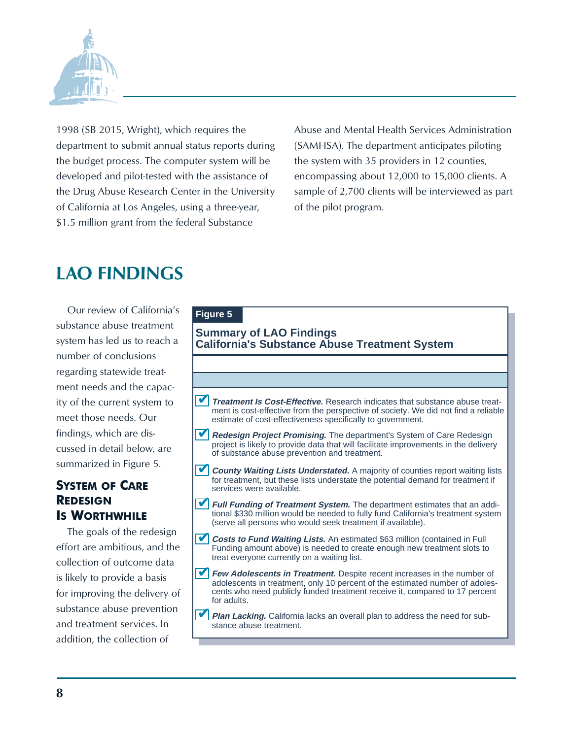

1998 (SB 2015, Wright), which requires the department to submit annual status reports during the budget process. The computer system will be developed and pilot-tested with the assistance of the Drug Abuse Research Center in the University of California at Los Angeles, using a three-year, \$1.5 million grant from the federal Substance

Abuse and Mental Health Services Administration (SAMHSA). The department anticipates piloting the system with 35 providers in 12 counties, encompassing about 12,000 to 15,000 clients. A sample of 2,700 clients will be interviewed as part of the pilot program.

# **LAO FINDINGS**

Our review of California's substance abuse treatment system has led us to reach a number of conclusions regarding statewide treatment needs and the capacity of the current system to meet those needs. Our findings, which are discussed in detail below, are summarized in Figure 5.

### **SYSTEM OF CARE REDESIGN IS WORTHWHILE**

The goals of the redesign effort are ambitious, and the collection of outcome data is likely to provide a basis for improving the delivery of substance abuse prevention and treatment services. In addition, the collection of

### **Figure 5 Summary of LAO Findings California's Substance Abuse Treatment System** ■ Treatment **Is Cost-Effective.** Research indicates that substance abuse treatment is cost-effective from the perspective of society. We did not find a reliable estimate of cost-effectiveness specifically to government. ■ Redesign Project Promising. The department's System of Care Redesign project is likely to provide data that will facilitate improvements in the delivery of substance abuse prevention and treatment.

- **County Waiting Lists Understated.** A majority of counties report waiting lists for treatment, but these lists understate the potential demand for treatment if services were available.
- **Full Funding of Treatment System.** The department estimates that an addi-✔ tional \$330 million would be needed to fully fund California's treatment system (serve all persons who would seek treatment if available).
- **Costs to Fund Waiting Lists.** An estimated \$63 million (contained in Full ✔ Funding amount above) is needed to create enough new treatment slots to treat everyone currently on a waiting list.
- **Few Adolescents in Treatment.** Despite recent increases in the number of adolescents in treatment, only 10 percent of the estimated number of adolescents who need publicly funded treatment receive it, compared to 17 percent for adults. ✔
- **Plan Lacking.** California lacks an overall plan to address the need for substance abuse treatment.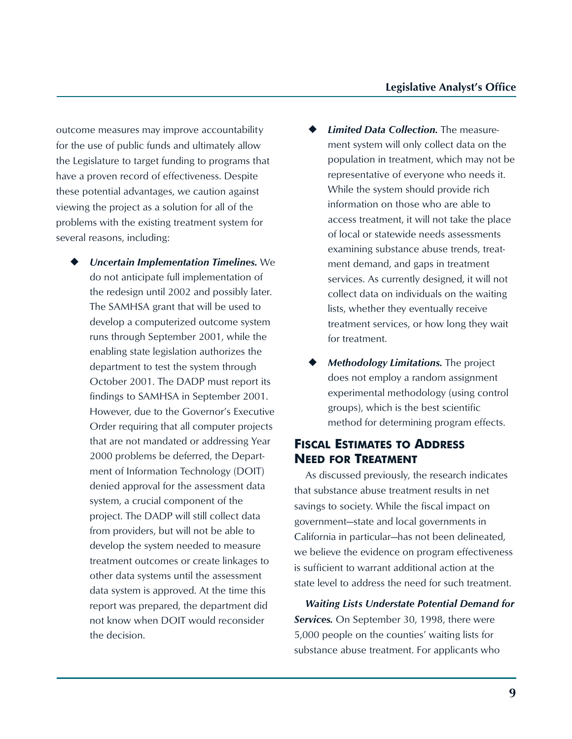outcome measures may improve accountability for the use of public funds and ultimately allow the Legislature to target funding to programs that have a proven record of effectiveness. Despite these potential advantages, we caution against viewing the project as a solution for all of the problems with the existing treatment system for several reasons, including:

- ◆ Uncertain Implementation Timelines. We do not anticipate full implementation of the redesign until 2002 and possibly later. The SAMHSA grant that will be used to develop a computerized outcome system runs through September 2001, while the enabling state legislation authorizes the department to test the system through October 2001. The DADP must report its findings to SAMHSA in September 2001. However, due to the Governor's Executive Order requiring that all computer projects that are not mandated or addressing Year 2000 problems be deferred, the Department of Information Technology (DOIT) denied approval for the assessment data system, a crucial component of the project. The DADP will still collect data from providers, but will not be able to develop the system needed to measure treatment outcomes or create linkages to other data systems until the assessment data system is approved. At the time this report was prepared, the department did not know when DOIT would reconsider the decision.
- **Limited Data Collection.** The measurement system will only collect data on the population in treatment, which may not be representative of everyone who needs it. While the system should provide rich information on those who are able to access treatment, it will not take the place of local or statewide needs assessments examining substance abuse trends, treatment demand, and gaps in treatment services. As currently designed, it will not collect data on individuals on the waiting lists, whether they eventually receive treatment services, or how long they wait for treatment.
- **Methodology Limitations.** The project does not employ a random assignment experimental methodology (using control groups), which is the best scientific method for determining program effects.

#### **FISCAL ESTIMATES TO ADDRESS NEED FOR TREATMENT**

As discussed previously, the research indicates that substance abuse treatment results in net savings to society. While the fiscal impact on government—state and local governments in California in particular—has not been delineated, we believe the evidence on program effectiveness is sufficient to warrant additional action at the state level to address the need for such treatment.

*Waiting Lists Understate Potential Demand for Services.* On September 30, 1998, there were 5,000 people on the counties' waiting lists for substance abuse treatment. For applicants who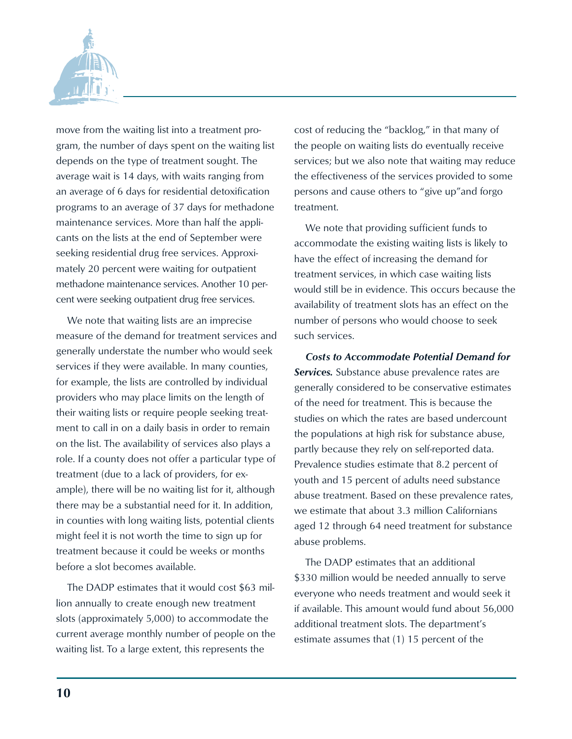

move from the waiting list into a treatment program, the number of days spent on the waiting list depends on the type of treatment sought. The average wait is 14 days, with waits ranging from an average of 6 days for residential detoxification programs to an average of 37 days for methadone maintenance services. More than half the applicants on the lists at the end of September were seeking residential drug free services. Approximately 20 percent were waiting for outpatient methadone maintenance services. Another 10 percent were seeking outpatient drug free services.

We note that waiting lists are an imprecise measure of the demand for treatment services and generally understate the number who would seek services if they were available. In many counties, for example, the lists are controlled by individual providers who may place limits on the length of their waiting lists or require people seeking treatment to call in on a daily basis in order to remain on the list. The availability of services also plays a role. If a county does not offer a particular type of treatment (due to a lack of providers, for example), there will be no waiting list for it, although there may be a substantial need for it. In addition, in counties with long waiting lists, potential clients might feel it is not worth the time to sign up for treatment because it could be weeks or months before a slot becomes available.

The DADP estimates that it would cost \$63 million annually to create enough new treatment slots (approximately 5,000) to accommodate the current average monthly number of people on the waiting list. To a large extent, this represents the

cost of reducing the "backlog," in that many of the people on waiting lists do eventually receive services; but we also note that waiting may reduce the effectiveness of the services provided to some persons and cause others to "give up"and forgo treatment.

We note that providing sufficient funds to accommodate the existing waiting lists is likely to have the effect of increasing the demand for treatment services, in which case waiting lists would still be in evidence. This occurs because the availability of treatment slots has an effect on the number of persons who would choose to seek such services.

*Costs to Accommodate Potential Demand for Services.* Substance abuse prevalence rates are generally considered to be conservative estimates of the need for treatment. This is because the studies on which the rates are based undercount the populations at high risk for substance abuse, partly because they rely on self-reported data. Prevalence studies estimate that 8.2 percent of youth and 15 percent of adults need substance abuse treatment. Based on these prevalence rates, we estimate that about 3.3 million Californians aged 12 through 64 need treatment for substance abuse problems.

The DADP estimates that an additional \$330 million would be needed annually to serve everyone who needs treatment and would seek it if available. This amount would fund about 56,000 additional treatment slots. The department's estimate assumes that (1) 15 percent of the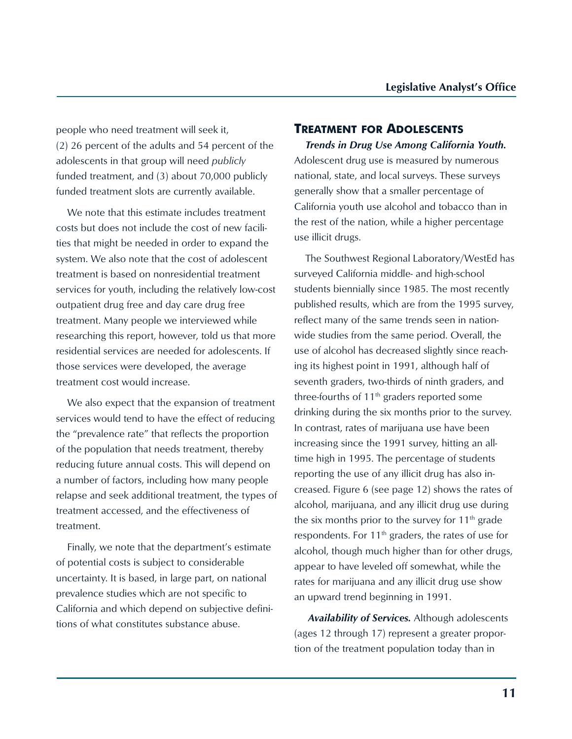people who need treatment will seek it, (2) 26 percent of the adults and 54 percent of the adolescents in that group will need *publicly* funded treatment, and (3) about 70,000 publicly funded treatment slots are currently available.

We note that this estimate includes treatment costs but does not include the cost of new facilities that might be needed in order to expand the system. We also note that the cost of adolescent treatment is based on nonresidential treatment services for youth, including the relatively low-cost outpatient drug free and day care drug free treatment. Many people we interviewed while researching this report, however, told us that more residential services are needed for adolescents. If those services were developed, the average treatment cost would increase.

We also expect that the expansion of treatment services would tend to have the effect of reducing the "prevalence rate" that reflects the proportion of the population that needs treatment, thereby reducing future annual costs. This will depend on a number of factors, including how many people relapse and seek additional treatment, the types of treatment accessed, and the effectiveness of treatment.

Finally, we note that the department's estimate of potential costs is subject to considerable uncertainty. It is based, in large part, on national prevalence studies which are not specific to California and which depend on subjective definitions of what constitutes substance abuse.

#### **TREATMENT FOR ADOLESCENTS**

*Trends in Drug Use Among California Youth.* Adolescent drug use is measured by numerous national, state, and local surveys. These surveys generally show that a smaller percentage of California youth use alcohol and tobacco than in the rest of the nation, while a higher percentage use illicit drugs.

The Southwest Regional Laboratory/WestEd has surveyed California middle- and high-school students biennially since 1985. The most recently published results, which are from the 1995 survey, reflect many of the same trends seen in nationwide studies from the same period. Overall, the use of alcohol has decreased slightly since reaching its highest point in 1991, although half of seventh graders, two-thirds of ninth graders, and three-fourths of  $11<sup>th</sup>$  graders reported some drinking during the six months prior to the survey. In contrast, rates of marijuana use have been increasing since the 1991 survey, hitting an alltime high in 1995. The percentage of students reporting the use of any illicit drug has also increased. Figure 6 (see page 12) shows the rates of alcohol, marijuana, and any illicit drug use during the six months prior to the survey for  $11<sup>th</sup>$  grade respondents. For  $11<sup>th</sup>$  graders, the rates of use for alcohol, though much higher than for other drugs, appear to have leveled off somewhat, while the rates for marijuana and any illicit drug use show an upward trend beginning in 1991.

 *Availability of Services.* Although adolescents (ages 12 through 17) represent a greater proportion of the treatment population today than in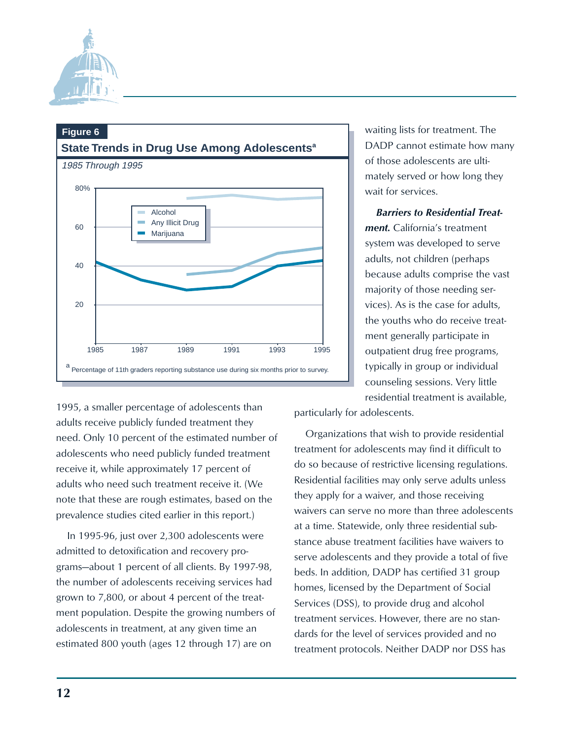



1995, a smaller percentage of adolescents than adults receive publicly funded treatment they need. Only 10 percent of the estimated number of adolescents who need publicly funded treatment receive it, while approximately 17 percent of adults who need such treatment receive it. (We note that these are rough estimates, based on the prevalence studies cited earlier in this report.)

In 1995-96, just over 2,300 adolescents were admitted to detoxification and recovery programs—about 1 percent of all clients. By 1997-98, the number of adolescents receiving services had grown to 7,800, or about 4 percent of the treatment population. Despite the growing numbers of adolescents in treatment, at any given time an estimated 800 youth (ages 12 through 17) are on

waiting lists for treatment. The DADP cannot estimate how many of those adolescents are ultimately served or how long they wait for services.

#### *Barriers to Residential Treat-*

*ment.* California's treatment system was developed to serve adults, not children (perhaps because adults comprise the vast majority of those needing services). As is the case for adults, the youths who do receive treatment generally participate in outpatient drug free programs, typically in group or individual counseling sessions. Very little residential treatment is available,

particularly for adolescents.

Organizations that wish to provide residential treatment for adolescents may find it difficult to do so because of restrictive licensing regulations. Residential facilities may only serve adults unless they apply for a waiver, and those receiving waivers can serve no more than three adolescents at a time. Statewide, only three residential substance abuse treatment facilities have waivers to serve adolescents and they provide a total of five beds. In addition, DADP has certified 31 group homes, licensed by the Department of Social Services (DSS), to provide drug and alcohol treatment services. However, there are no standards for the level of services provided and no treatment protocols. Neither DADP nor DSS has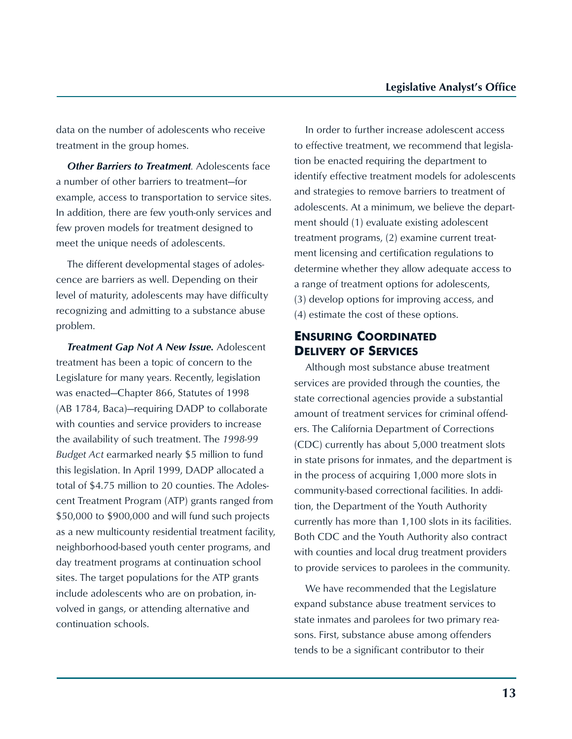data on the number of adolescents who receive treatment in the group homes.

**Other Barriers to Treatment**. Adolescents face a number of other barriers to treatment—for example, access to transportation to service sites. In addition, there are few youth-only services and few proven models for treatment designed to meet the unique needs of adolescents.

The different developmental stages of adolescence are barriers as well. Depending on their level of maturity, adolescents may have difficulty recognizing and admitting to a substance abuse problem.

*Treatment Gap Not A New Issue.* Adolescent treatment has been a topic of concern to the Legislature for many years. Recently, legislation was enacted—Chapter 866, Statutes of 1998 (AB 1784, Baca)—requiring DADP to collaborate with counties and service providers to increase the availability of such treatment. The *1998-99 Budget Act* earmarked nearly \$5 million to fund this legislation. In April 1999, DADP allocated a total of \$4.75 million to 20 counties. The Adolescent Treatment Program (ATP) grants ranged from \$50,000 to \$900,000 and will fund such projects as a new multicounty residential treatment facility, neighborhood-based youth center programs, and day treatment programs at continuation school sites. The target populations for the ATP grants include adolescents who are on probation, involved in gangs, or attending alternative and continuation schools.

In order to further increase adolescent access to effective treatment, we recommend that legislation be enacted requiring the department to identify effective treatment models for adolescents and strategies to remove barriers to treatment of adolescents. At a minimum, we believe the department should (1) evaluate existing adolescent treatment programs, (2) examine current treatment licensing and certification regulations to determine whether they allow adequate access to a range of treatment options for adolescents, (3) develop options for improving access, and (4) estimate the cost of these options.

#### **ENSURING COORDINATED DELIVERY OF SERVICES**

Although most substance abuse treatment services are provided through the counties, the state correctional agencies provide a substantial amount of treatment services for criminal offenders. The California Department of Corrections (CDC) currently has about 5,000 treatment slots in state prisons for inmates, and the department is in the process of acquiring 1,000 more slots in community-based correctional facilities. In addition, the Department of the Youth Authority currently has more than 1,100 slots in its facilities. Both CDC and the Youth Authority also contract with counties and local drug treatment providers to provide services to parolees in the community.

We have recommended that the Legislature expand substance abuse treatment services to state inmates and parolees for two primary reasons. First, substance abuse among offenders tends to be a significant contributor to their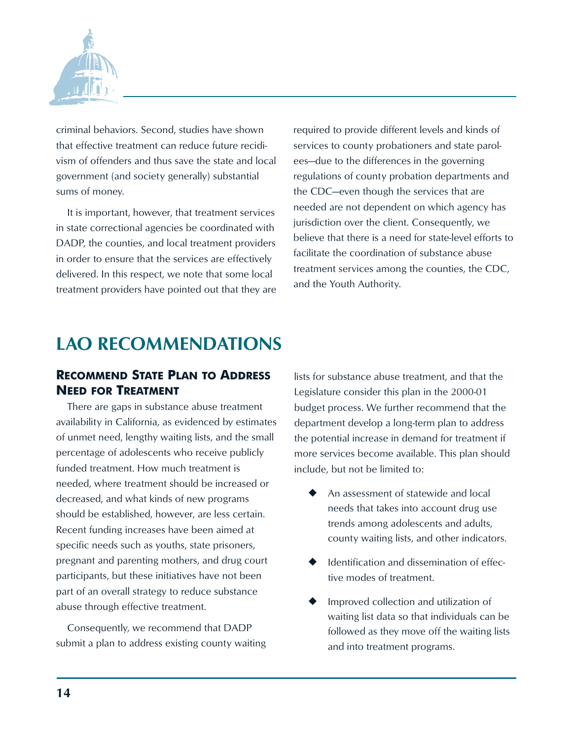

criminal behaviors. Second, studies have shown that effective treatment can reduce future recidivism of offenders and thus save the state and local government (and society generally) substantial sums of money.

It is important, however, that treatment services in state correctional agencies be coordinated with DADP, the counties, and local treatment providers in order to ensure that the services are effectively delivered. In this respect, we note that some local treatment providers have pointed out that they are required to provide different levels and kinds of services to county probationers and state parolees—due to the differences in the governing regulations of county probation departments and the CDC—even though the services that are needed are not dependent on which agency has jurisdiction over the client. Consequently, we believe that there is a need for state-level efforts to facilitate the coordination of substance abuse treatment services among the counties, the CDC, and the Youth Authority.

# **LAO RECOMMENDATIONS**

#### **RECOMMEND STATE PLAN TO ADDRESS NEED FOR TREATMENT**

There are gaps in substance abuse treatment availability in California, as evidenced by estimates of unmet need, lengthy waiting lists, and the small percentage of adolescents who receive publicly funded treatment. How much treatment is needed, where treatment should be increased or decreased, and what kinds of new programs should be established, however, are less certain. Recent funding increases have been aimed at specific needs such as youths, state prisoners, pregnant and parenting mothers, and drug court participants, but these initiatives have not been part of an overall strategy to reduce substance abuse through effective treatment.

Consequently, we recommend that DADP submit a plan to address existing county waiting lists for substance abuse treatment, and that the Legislature consider this plan in the 2000-01 budget process. We further recommend that the department develop a long-term plan to address the potential increase in demand for treatment if more services become available. This plan should include, but not be limited to:

- An assessment of statewide and local needs that takes into account drug use trends among adolescents and adults, county waiting lists, and other indicators.
- Identification and dissemination of effective modes of treatment.
- Improved collection and utilization of waiting list data so that individuals can be followed as they move off the waiting lists and into treatment programs.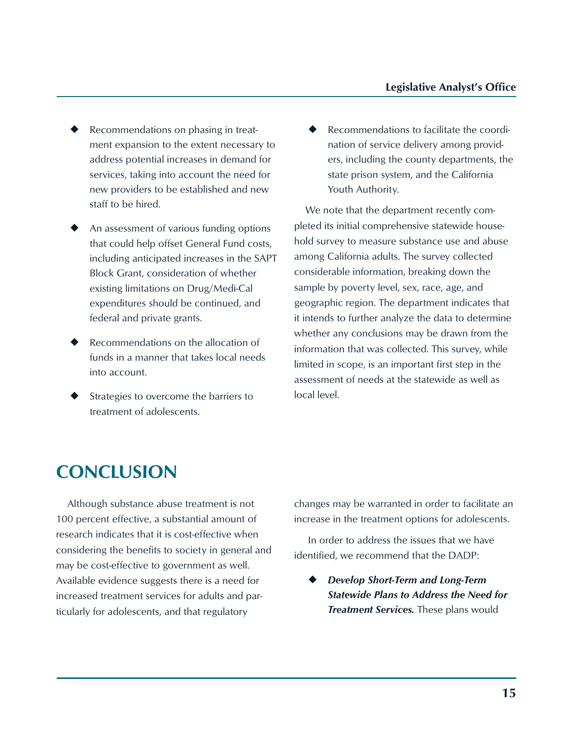- $\blacklozenge$  Recommendations on phasing in treatment expansion to the extent necessary to address potential increases in demand for services, taking into account the need for new providers to be established and new staff to be hired.
- $\blacklozenge$  An assessment of various funding options that could help offset General Fund costs, including anticipated increases in the SAPT Block Grant, consideration of whether existing limitations on Drug/Medi-Cal expenditures should be continued, and federal and private grants.
- Recommendations on the allocation of funds in a manner that takes local needs into account.
- Strategies to overcome the barriers to treatment of adolescents.

Recommendations to facilitate the coordination of service delivery among providers, including the county departments, the state prison system, and the California Youth Authority.

We note that the department recently completed its initial comprehensive statewide household survey to measure substance use and abuse among California adults. The survey collected considerable information, breaking down the sample by poverty level, sex, race, age, and geographic region. The department indicates that it intends to further analyze the data to determine whether any conclusions may be drawn from the information that was collected. This survey, while limited in scope, is an important first step in the assessment of needs at the statewide as well as local level.

# **CONCLUSION**

Although substance abuse treatment is not 100 percent effective, a substantial amount of research indicates that it is cost-effective when considering the benefits to society in general and may be cost-effective to government as well. Available evidence suggests there is a need for increased treatment services for adults and particularly for adolescents, and that regulatory

changes may be warranted in order to facilitate an increase in the treatment options for adolescents.

 In order to address the issues that we have identified, we recommend that the DADP:

<sup>u</sup> *Develop Short-Term and Long-Term Statewide Plans to Address the Need for Treatment Services.* These plans would